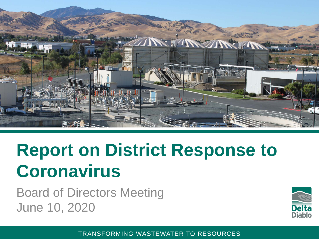

#### **Report on District Response to Coronavirus**

Board of Directors Meeting June 10, 2020



TRANSFORMING WASTEWATER TO RESOURCES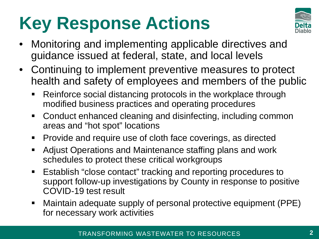## **Key Response Actions**



- Monitoring and implementing applicable directives and guidance issued at federal, state, and local levels
- Continuing to implement preventive measures to protect health and safety of employees and members of the public
	- Reinforce social distancing protocols in the workplace through modified business practices and operating procedures
	- Conduct enhanced cleaning and disinfecting, including common areas and "hot spot" locations
	- Provide and require use of cloth face coverings, as directed
	- Adjust Operations and Maintenance staffing plans and work schedules to protect these critical workgroups
	- **Establish "close contact" tracking and reporting procedures to** support follow-up investigations by County in response to positive COVID-19 test result
	- Maintain adequate supply of personal protective equipment (PPE) for necessary work activities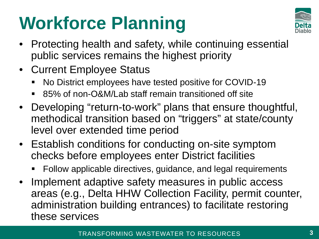### **Workforce Planning**



- Protecting health and safety, while continuing essential public services remains the highest priority
- Current Employee Status
	- No District employees have tested positive for COVID-19
	- 85% of non-O&M/Lab staff remain transitioned off site
- Developing "return-to-work" plans that ensure thoughtful, methodical transition based on "triggers" at state/county level over extended time period
- Establish conditions for conducting on-site symptom checks before employees enter District facilities
	- Follow applicable directives, guidance, and legal requirements
- Implement adaptive safety measures in public access areas (e.g., Delta HHW Collection Facility, permit counter, administration building entrances) to facilitate restoring these services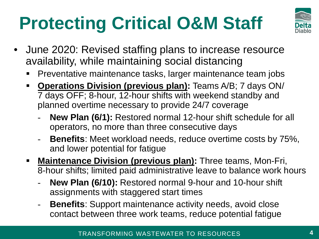# **Protecting Critical O&M Staff**



- June 2020: Revised staffing plans to increase resource availability, while maintaining social distancing
	- **Preventative maintenance tasks, larger maintenance team jobs**
	- **Operations Division (previous plan):** Teams A/B; 7 days ON/ 7 days OFF; 8-hour, 12-hour shifts with weekend standby and planned overtime necessary to provide 24/7 coverage
		- New Plan (6/1): Restored normal 12-hour shift schedule for all operators, no more than three consecutive days
		- **Benefits**: Meet workload needs, reduce overtime costs by 75%, and lower potential for fatigue
	- **Maintenance Division (previous plan):** Three teams, Mon-Fri, 8-hour shifts; limited paid administrative leave to balance work hours
		- New Plan (6/10): Restored normal 9-hour and 10-hour shift assignments with staggered start times
		- **Benefits:** Support maintenance activity needs, avoid close contact between three work teams, reduce potential fatigue